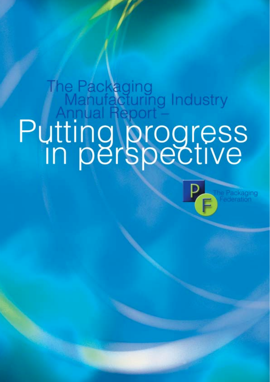# The Packaging<br>
Manufacturing Industry<br>
Putting progress<br>
In perspective

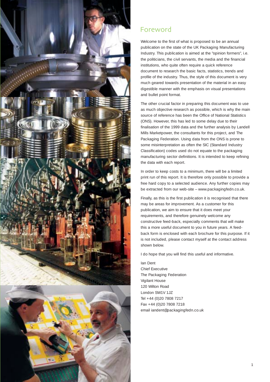

# Foreword

Welcome to the first of what is proposed to be an annual publication on the state of the UK Packaging Manufacturing Industry. This publication is aimed at the "opinion formers", i.e. the politicians, the civil servants, the media and the financial institutions, who quite often require a quick reference document to research the basic facts, statistics, trends and profile of the industry. Thus, the style of this document is very much geared towards presentation of the material in an easy digestible manner with the emphasis on visual presentations and bullet point format.

The other crucial factor in preparing this document was to use as much objective research as possible, which is why the main source of reference has been the Office of National Statistics (ONS). However, this has led to some delay due to their finalisation of the 1999 data and the further analysis by Landell Mills Marketpower, the consultants for this project, and The Packaging Federation. Using data from the ONS is prone to some misinterpretation as often the SIC (Standard Industry Classification) codes used do not equate to the packaging manufacturing sector definitions. It is intended to keep refining the data with each report.

In order to keep costs to a minimum, there will be a limited print run of this report. It is therefore only possible to provide a free hard copy to a selected audience. Any further copies may be extracted from our web-site – www.packagingfedn.co.uk.

Finally, as this is the first publication it is recognised that there may be areas for improvement. As a customer for this publication, we aim to ensure that it does meet your requirements, and therefore genuinely welcome any constructive feed-back, especially comments that will make this a more useful document to you in future years. A feedback form is enclosed with each brochure for this purpose. If it is not included, please contact myself at the contact address shown below.

I do hope that you will find this useful and informative.

Ian Dent Chief Executive The Packaging Federation Vigilant House 120 Wilton Road London SW1V 1JZ Tel +44 (0)20 7808 7217 Fax +44 (0)20 7808 7218 email iandent@packagingfedn.co.uk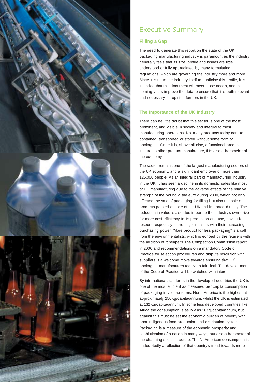

# Executive Summary

# **Filling a Gap**

The need to generate this report on the state of the UK packaging manufacturing industry is paramount as the industry generally feels that its size, profile and issues are little understood or fully appreciated by many formulating regulations, which are governing the industry more and more. Since it is up to the industry itself to publicise this profile, it is intended that this document will meet those needs, and in coming years improve the data to ensure that it is both relevant and necessary for opinion formers in the UK.

# **The Importance of the UK Industry**

There can be little doubt that this sector is one of the most prominent, and visible in society and integral to most manufacturing operations. Not many products today can be contained, transported or stored without some form of packaging. Since it is, above all else, a functional product integral to other product manufacture, it is also a barometer of the economy.

The sector remains one of the largest manufacturing sectors of the UK economy, and a significant employer of more than 125,000 people. As an integral part of manufacturing industry in the UK, it has seen a decline in its domestic sales like most of UK manufacturing due to the adverse effects of the relative strength of the pound v. the euro during 2000, which not only affected the sale of packaging for filling but also the sale of products packed outside of the UK and imported directly. The reduction in value is also due in part to the industry's own drive for more cost-efficiency in its production and use, having to respond especially to the major retailers with their increasing purchasing power. "More product for less packaging" is a call from the environmentalists, which is echoed by the retailers with the addition of "cheaper"! The Competition Commission report in 2000 and recommendations on a mandatory Code of Practice for selection procedures and dispute resolution with suppliers is a welcome move towards ensuring that UK packaging manufacturers receive a fair deal. The development of the Code of Practice will be watched with interest.

By international standards in the developed countries the UK is one of the most efficient as measured per capita consumption of packaging in volume terms. North America is the highest at approximately 250Kg/capita/annum, whilst the UK is estimated at 132Kg/capita/annum. In some less developed countries like Africa the consumption is as low as 10Kg/capita/annum, but against this must be set the economic burden of poverty with poor indigenous food production and distribution systems. Packaging is a measure of the economic prosperity and sophistication of a nation in many ways, but also a barometer of the changing social structure. The N. American consumption is undoubtedly a reflection of that country's trend towards more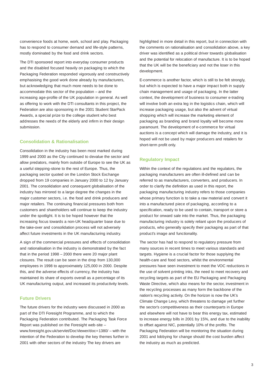convenience foods at home, work, school and play. Packaging has to respond to consumer demand and life-style patterns, mostly dominated by the food and drink sectors.

The DTI sponsored report into everyday consumer products and the disabled focused heavily on packaging to which the Packaging Federation responded vigorously and constructively emphasising the good work done already by manufacturers, but acknowledging that much more needs to be done to accommodate this sector of the population – and the increasing age-profile of the UK population in general. As well as offering to work with the DTI consultants in this project, the Federation are also sponsoring in the 2001 Student StarPack Awards, a special prize to the college student who best addresses the needs of the elderly and infirm in their design submission.

# **Consolidation & Rationalisation**

Consolidation in the industry has been most marked during 1999 and 2000 as the City continued to devalue the sector and allow predators, mainly from outside of Europe to see the UK as a useful stepping-stone to the rest of Europe. Thus, the packaging sector quoted on the London Stock Exchange dropped from 19 companies in January 2000 to 12 by January 2001. The consolidation and consequent globalisation of the industry has mirrored to a large degree the changes in the major customer sectors, i.e. the food and drink producers and major retailers. The continuing financial pressures both from customers and shareholders will continue to keep the industry under the spotlight. It is to be hoped however that the increasing focus towards a non-UK headquarter base due to the take-over and consolidation process will not adversely affect future investments in the UK manufacturing industry.

A sign of the commercial pressures and effects of consolidation and rationalisation in the industry is demonstrated by the fact that in the period 1998 – 2000 there were 20 major plant closures. The result can be seen in the drop from 130,000 employees in 1998 to approximately 125,000 in 2000. Despite this, and the adverse effects of currency, the industry has maintained its share of exports overall as a percentage of its UK manufacturing output, and increased its productivity levels.

# **Future Drivers**

The future drivers for the industry were discussed in 2000 as part of the DTI Foresight Programme, and to which the Packaging Federation contributed. The Packaging Task Force Report was published on the Foresight web-site – www.foresight.gov.uk/servlet/DocViewer/doc=1380/ – with the intention of the Federation to develop the key themes further in 2001 with other sectors of the industry The key drivers are

highlighted in more detail in this report, but in connection with the comments on rationalisation and consolidation above, a key driver was identified as a political driver towards globalisation and the potential for relocation of manufacture. It is to be hoped that the UK will be the beneficiary and not the loser in this development.

E-commerce is another factor, which is still to be felt strongly, but which is expected to have a major impact both in supply chain management and usage of packaging. In the latter context, the development of business to consumer e-trading will involve both an extra leg in the logistics chain, which will increase packaging usage, but also the advent of virtual shopping which will increase the marketing element of packaging as branding and brand loyalty will become more paramount. The development of e-commerce for virtual auctions is a concept which will damage the industry, and it is hoped will not be used by major producers and retailers for short-term profit only.

## **Regulatory Impact**

Within the context of the regulations and the regulators, the packaging manufacturers are often ill-defined and can be referred to as manufacturers, converters, and producers. In order to clarify the definition as used in this report, the packaging manufacturing industry refers to those companies whose primary function is to take a raw material and convert it into a manufactured piece of packaging, according to a specification, ready to be used to contain, transport or store a product for onward sale into the market. Thus, the packaging manufacturing industry is solely reliant upon the producers of products, who generally specify their packaging as part of that product's image and functionality.

The sector has had to respond to regulatory pressure from many sources in recent times to meet various standards and targets. Hygiene is a crucial factor for those supplying the health-care and food sectors, whilst the environmental pressures have seen investment to meet the VOC reductions in the use of solvent printing inks, the need to meet recovery and recycling targets as part of the EU Packaging and Packaging Waste Directive, which also means for the sector, investment in the recycling processes as many form the backbone of the nation's recycling activity. On the horizon is now the UK's Climate Change Levy, which threatens to damage yet further the sector's competitiveness as their counterparts in Europe and elsewhere will not have to bear this energy tax, estimated to increase energy bills in 2001 by 15%, and due to the inability to offset against NIC, potentially 10% of the profits. The Packaging Federation will be monitoring the situation during 2001 and lobbying for change should the cost burden affect the industry as much as predicted.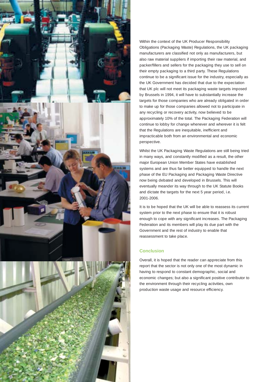



Within the context of the UK Producer Responsibility Obligations (Packaging Waste) Regulations, the UK packaging manufacturers are classified not only as manufacturers, but also raw material suppliers if importing their raw material, and packer/fillers and sellers for the packaging they use to sell on their empty packaging to a third party. These Regulations continue to be a significant issue for the industry, especially as the UK Government has decided that due to the expectation that UK plc will not meet its packaging waste targets imposed by Brussels in 1994, it will have to substantially increase the targets for those companies who are already obligated in order to make up for those companies allowed not to participate in any recycling or recovery activity, now believed to be approximately 10% of the total. The Packaging Federation will continue to lobby for change whenever and wherever it is felt that the Regulations are inequitable, inefficient and impracticable both from an environmental and economic perspective.

Whilst the UK Packaging Waste Regulations are still being tried in many ways, and constantly modified as a result, the other major European Union Member States have established systems and are thus far better equipped to handle the next phase of the EU Packaging and Packaging Waste Directive now being debated and developed in Brussels. This will eventually meander its way through to the UK Statute Books and dictate the targets for the next 5 year period, i.e. 2001-2006.

It is to be hoped that the UK will be able to reassess its current system prior to the next phase to ensure that it is robust enough to cope with any significant increases. The Packaging Federation and its members will play its due part with the Government and the rest of industry to enable that reassessment to take place.

# **Conclusion**

Overall, it is hoped that the reader can appreciate from this report that the sector is not only one of the most dynamic in having to respond to constant demographic, social and economic changes; but also a significant positive contributor to the environment through their recycling activities, own production waste usage and resource efficiency.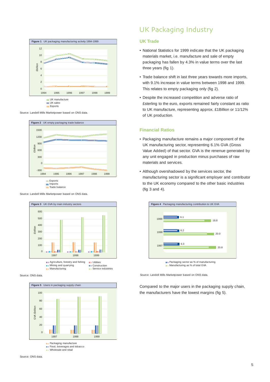

Source: Landell Mills Marketpower based on ONS data.



Source: Landell Mills Marketpower based on ONS data.



Source: ONS data.



### Source: ONS data.

# UK Packaging Industry

# **UK Trade**

- National Statistics for 1999 indicate that the UK packaging materials market, i.e. manufacture and sale of empty packaging has fallen by 4.3% in value terms over the last three years (fig 1).
- Trade balance shift in last three years towards more imports, with 9.1% increase in value terms between 1998 and 1999. This relates to empty packaging only (fig 2).
- Despite the increased competition and adverse ratio of £sterling to the euro, exports remained fairly constant as ratio to UK manufacture, representing approx. £1Billion or 11/12% of UK production.

# **Financial Ratios**

- Packaging manufacture remains a major component of the UK manufacturing sector, representing 6.1% GVA (Gross Value Added) of that sector. GVA is the renenue generated by any unit engaged in production minus purchases of raw materials and services.
- Although overshadowed by the services sector, the manufacturing sector is a significant employer and contributor to the UK economy compared to the other basic industries (fig 3 and 4).



Source: Landell Mills Marketpower based on ONS data.

Compared to the major users in the packaging supply chain, the manufacturers have the lowest margins (fig 5).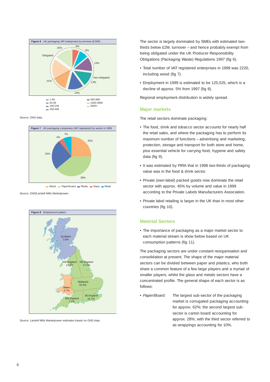

Source: ONS data.



Wood **Paper/board Plastic Glass Metal** 

Source: ONS/Landell Mills Marketpower.



Source: Landell Mills Marketpower estimates based on ONS data.

The sector is largely dominated by SMEs with estimated twothirds below £2M. turnover – and hence probably exempt from being obligated under the UK Producer Responsibility Obligations (Packaging Waste) Regulations 1997 (fig 6).

- Total number of VAT registered enterprises in 1999 was 2220, including wood (fig 7).
- Employment in 1999 is estimated to be 125,525, which is a decline of approx. 5% from 1997 (fig 8).

Regional employment distribution is widely spread.

# **Major markets**

The retail sectors dominate packaging:

- The food, drink and tobacco sector accounts for nearly half the retail sales, and where the packaging has to perform its maximum number of functions – advertising and marketing, protection, storage and transport for both store and home, plus essential vehicle for carrying food, hygiene and safety data (fig 9).
- It was estimated by PIRA that in 1998 two-thirds of packaging value was in the food & drink sector.
- Private (own-label) packed goods now dominate the retail sector with approx. 45% by volume and value in 1999 according to the Private Labels Manufacturers Association.
- Private label retailing is larger in the UK than in most other countries (fig 10).

# **Material Sectors**

• The importance of packaging as a major market sector to each material stream is show below based on UK consumption patterns (fig 11).

The packaging sectors are under constant reorganisation and consolidation at present. The shape of the major material sectors can be divided between paper and plastics, who both share a common feature of a few large players and a myriad of smaller players; whilst the glass and metals sectors have a concentrated profile. The general shape of each sector is as follows:

• Paper/Board: The largest sub-sector of the packaging market is corrugated packaging accounting for approx. 62%; the second largest subsector is carton board accounting for approx. 28%; with the third sector referred to as wrappings accounting for 10%.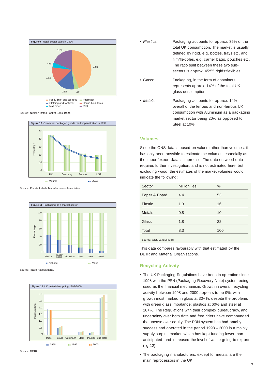

Source: Nielson Retail Pocket Book 1999.



Source: Private Labels Manufacturers Association.



Source: Trade Associations.





- Plastics: Packaging accounts for approx. 35% of the total UK consumption. The market is usually defined by rigid, e.g. bottles, trays etc. and film/flexibles, e.g. carrier bags, pouches etc. The ratio split between these two subsectors is approx. 45:55 rigids:flexibles.
- Glass: Packaging, in the form of containers, represents approx. 14% of the total UK glass consumption.
- Metals: Packaging accounts for approx. 14% overall of the ferrous and non-ferrous UK consumption with Aluminium as a packaging market sector being 20% as opposed to Steel at 10%.

### **Volumes**

Since the ONS data is based on values rather than volumes, it has only been possible to estimate the volumes, especially as the import/export data is imprecise. The data on wood data requires further investigation, and is not estimated here; but excluding wood, the estimates of the market volumes would indicate the following:

| Sector        | Million Tes. | %   |
|---------------|--------------|-----|
| Paper & Board | 4.4          | 53  |
| Plastic       | 1.3          | 16  |
| <b>Metals</b> | 0.8          | 10  |
| Glass         | 1.8          | 22  |
| Total         | 8.3          | 100 |

Source: ONS/Landell Mills

This data compares favourably with that estimated by the DETR and Material Organisations.

### **Recycling Activity**

- The UK Packaging Regulations have been in operation since 1998 with the PRN (Packaging Recovery Note) system being used as the financial mechanism. Growth in overall recycling activity between 1998 and 2000 appears to be 9%, with growth most marked in glass at 30+%, despite the problems with green glass imbalance; plastics at 60% and steel at 20+%. The Regulations with their complex bureaucracy, and uncertainty over both data and free riders have compounded the unease over equity. The PRN system has had patchy success and operated in the period 1998 – 2000 in a mainly supply surplus market, which has kept funding lower than anticipated, and increased the level of waste going to exports (fig 12).
- The packaging manufacturers, except for metals, are the main reprocessors in the UK.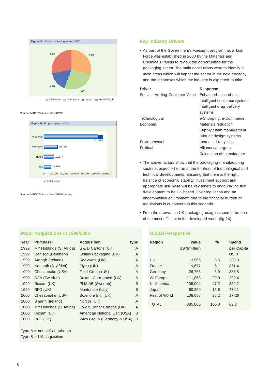

Source: MTI/RTS Associates/APME.



Source: MTI/RTS Associates/APMEn terms.

# **Major Acquisitions in 1999/2000**

| Year | <b>Purchaser</b>        | <b>Acquisition</b>          | Type |
|------|-------------------------|-----------------------------|------|
| 1999 | MY Holdings (S. Africa) | S & D Cartons (UK)          | A    |
| 1999 | Danisco (Denmark)       | Sidlaw Packaging (UK)       | A    |
| 1999 | Ardagh (Ireland)        | Rockware (UK)               | A    |
| 1999 | Nampak (S. Africa)      | Plysu (UK)                  | A    |
| 1999 | Chesapeake (USA)        | Field Group (UK)            | A    |
| 1999 | SCA (Sweden)            | Rexam Corrugated (UK)       | A    |
| 1999 | Rexam (UK)              | PLM AB (Sweden)             | B    |
| 1999 | RPC (UK)                | Montonate (Italy)           | B    |
| 2000 | Chesapeake (USA)        | Boxmore Intl. (UK)          | A    |
| 2000 | Smurfit (Ireland)       | Norcor (UK)                 | A    |
| 2000 | MY Holdings (S. Africa) | Low & Bonar Cartons (UK)    | A    |
| 2000 | Rexam (UK)              | American National Can (USA) | B    |
| 2000 | RPC (UK)                | Wiko Group (Germany & USA)  | B    |

Type A = non-UK acquisition Type  $B = UK$  acquisition

# **Key Industry Drivers**

• As part of the Government's Foresight programme, a Task Force was established in 2000 by the Materials and Chemicals Panels to review the opportunities for the packaging sector. The main conclusions were to identify 5 main areas which will impact the sector in the next decade, and the responses which the industry is expected to take:

| <b>Driver</b>                  | <b>Response</b>              |  |
|--------------------------------|------------------------------|--|
| Social - Adding Customer Value | Enhanced ease of use         |  |
|                                | Intelligent consumer systems |  |
|                                | Intelligent drug delivery    |  |
|                                | systems                      |  |
| Technological                  | e-Shopping, e-Commerce       |  |
| Economic                       | Materials reduction          |  |
|                                | Supply chain management      |  |
|                                | "Virtual" design systems     |  |
| Environmental                  | Increased recycling          |  |
| Political                      | Alliances/mergers            |  |
|                                | Relocation of manufacture    |  |

- The above factors show that the packaging manufacturing sector is expected to be at the forefront of technological and technical developments. Ensuring that there is the right balance of economic stability, investment support and appropriate skill base will be key tenets to encouraging that development to be UK based. Over-regulation and an uncompetitive environment due to the financial burden of regulations is of concern in this scenario.
- From the above, the UK packaging usage is seen to be one of the most efficient in the developed world (fig 14).

# **Global Perspective**

| <b>Region</b> | Value<br><b>US \$million</b> | $\%$  | <b>Spend</b><br>per Capita<br>US <sub>\$</sub> |
|---------------|------------------------------|-------|------------------------------------------------|
| UK            | 13,566                       | 3.5   | 238.0                                          |
| France        | 19.677                       | 5.1   | 351.4                                          |
| Germany       | 26,765                       | 69    | 338.8                                          |
| W. Europe     | 111,858                      | 29.0  | 290.4                                          |
| N. America    | 105,004                      | 27.2  | 352.2                                          |
| Japan         | 60.250                       | 15.6  | 479.1                                          |
| Rest of World | 108,688                      | 28.2  | $17 - 26$                                      |
| TOTAL         | 385,800                      | 100.0 | 69.3                                           |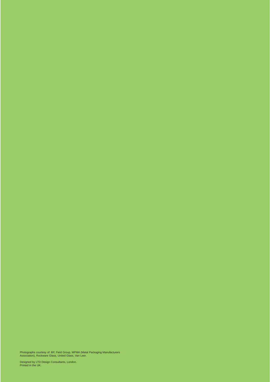Photographs courtesy of: BP, Field Group, MPMA (Metal Packaging Manufacturers Association), Rockware Glass, United Glass, Van Leer.

Designed by LTD Design Consultants, London. Printed in the UK.